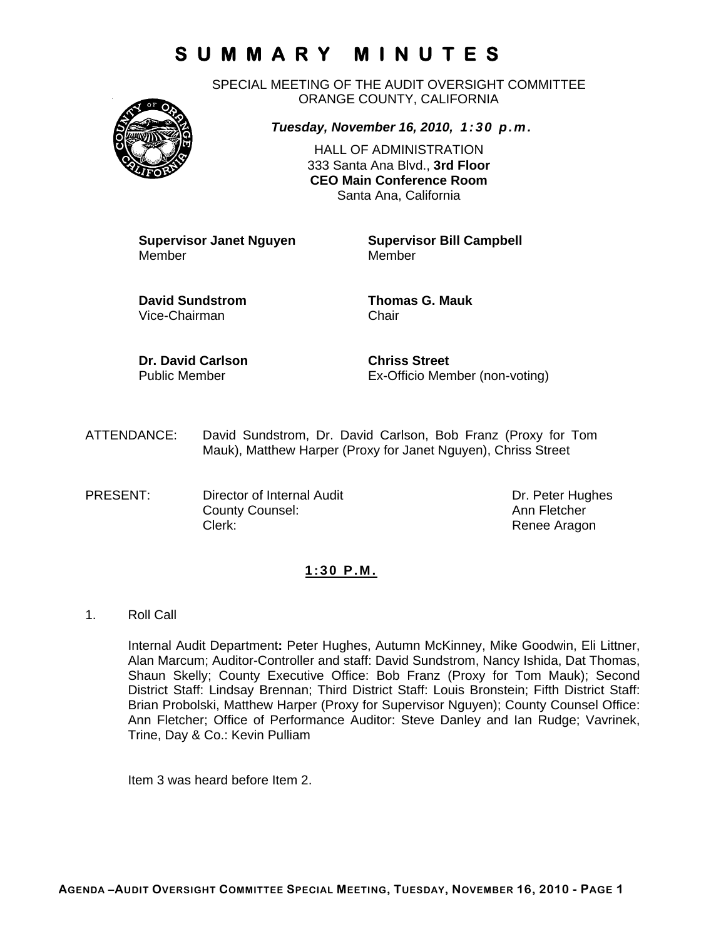SPECIAL MEETING OF THE AUDIT OVERSIGHT COMMITTEE ORANGE COUNTY, CALIFORNIA



*Tuesday, November 16, 2010, 1:30 p.m.*

HALL OF ADMINISTRATION 333 Santa Ana Blvd., **3rd Floor CEO Main Conference Room**  Santa Ana, California

**Supervisor Janet Nguyen Supervisor Bill Campbell** 

Member

**David Sundstrom Thomas G. Mauk**  Vice-Chairman Chair

**Dr. David Carlson Chriss Street** 

Public Member Ex-Officio Member (non-voting)

- ATTENDANCE: David Sundstrom, Dr. David Carlson, Bob Franz (Proxy for Tom Mauk), Matthew Harper (Proxy for Janet Nguyen), Chriss Street
- PRESENT: Director of Internal Audit Dr. Peter Hughes County Counsel: Counsel: County Counsel: Clerk: Clerk: Clerk: Renee Aragon

### **1:30 P.M.**

1. Roll Call

Internal Audit Department**:** Peter Hughes, Autumn McKinney, Mike Goodwin, Eli Littner, Alan Marcum; Auditor-Controller and staff: David Sundstrom, Nancy Ishida, Dat Thomas, Shaun Skelly; County Executive Office: Bob Franz (Proxy for Tom Mauk); Second District Staff: Lindsay Brennan; Third District Staff: Louis Bronstein; Fifth District Staff: Brian Probolski, Matthew Harper (Proxy for Supervisor Nguyen); County Counsel Office: Ann Fletcher; Office of Performance Auditor: Steve Danley and Ian Rudge; Vavrinek, Trine, Day & Co.: Kevin Pulliam

Item 3 was heard before Item 2.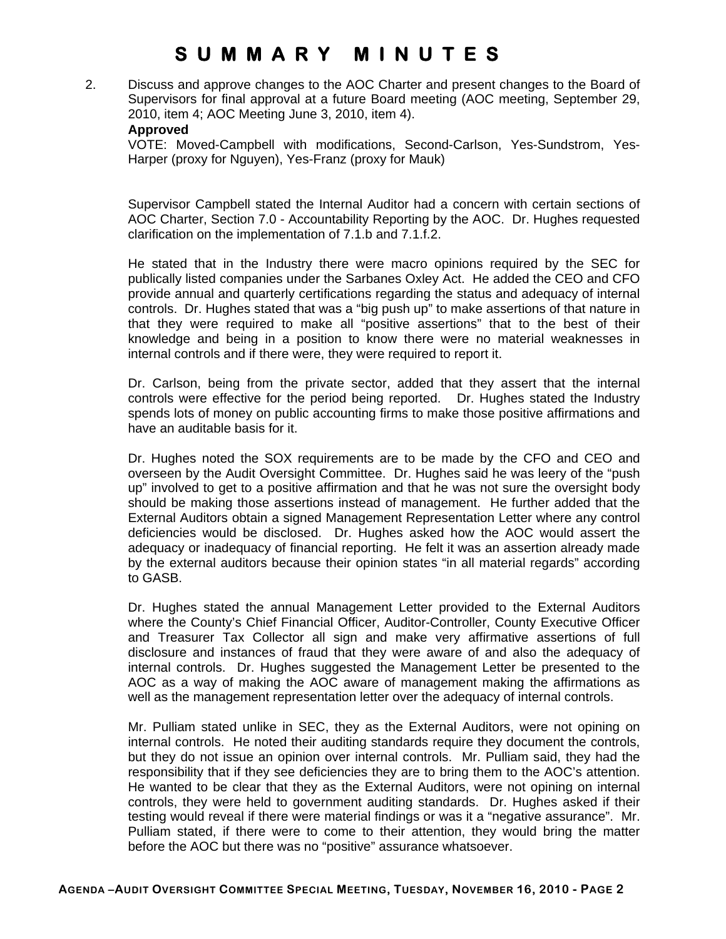2. Discuss and approve changes to the AOC Charter and present changes to the Board of Supervisors for final approval at a future Board meeting (AOC meeting, September 29, 2010, item 4; AOC Meeting June 3, 2010, item 4).

#### **Approved**

VOTE: Moved-Campbell with modifications, Second-Carlson, Yes-Sundstrom, Yes-Harper (proxy for Nguyen), Yes-Franz (proxy for Mauk)

Supervisor Campbell stated the Internal Auditor had a concern with certain sections of AOC Charter, Section 7.0 - Accountability Reporting by the AOC. Dr. Hughes requested clarification on the implementation of 7.1.b and 7.1.f.2.

He stated that in the Industry there were macro opinions required by the SEC for publically listed companies under the Sarbanes Oxley Act. He added the CEO and CFO provide annual and quarterly certifications regarding the status and adequacy of internal controls. Dr. Hughes stated that was a "big push up" to make assertions of that nature in that they were required to make all "positive assertions" that to the best of their knowledge and being in a position to know there were no material weaknesses in internal controls and if there were, they were required to report it.

Dr. Carlson, being from the private sector, added that they assert that the internal controls were effective for the period being reported. Dr. Hughes stated the Industry spends lots of money on public accounting firms to make those positive affirmations and have an auditable basis for it.

Dr. Hughes noted the SOX requirements are to be made by the CFO and CEO and overseen by the Audit Oversight Committee. Dr. Hughes said he was leery of the "push up" involved to get to a positive affirmation and that he was not sure the oversight body should be making those assertions instead of management. He further added that the External Auditors obtain a signed Management Representation Letter where any control deficiencies would be disclosed. Dr. Hughes asked how the AOC would assert the adequacy or inadequacy of financial reporting. He felt it was an assertion already made by the external auditors because their opinion states "in all material regards" according to GASB.

Dr. Hughes stated the annual Management Letter provided to the External Auditors where the County's Chief Financial Officer, Auditor-Controller, County Executive Officer and Treasurer Tax Collector all sign and make very affirmative assertions of full disclosure and instances of fraud that they were aware of and also the adequacy of internal controls. Dr. Hughes suggested the Management Letter be presented to the AOC as a way of making the AOC aware of management making the affirmations as well as the management representation letter over the adequacy of internal controls.

Mr. Pulliam stated unlike in SEC, they as the External Auditors, were not opining on internal controls. He noted their auditing standards require they document the controls, but they do not issue an opinion over internal controls. Mr. Pulliam said, they had the responsibility that if they see deficiencies they are to bring them to the AOC's attention. He wanted to be clear that they as the External Auditors, were not opining on internal controls, they were held to government auditing standards. Dr. Hughes asked if their testing would reveal if there were material findings or was it a "negative assurance". Mr. Pulliam stated, if there were to come to their attention, they would bring the matter before the AOC but there was no "positive" assurance whatsoever.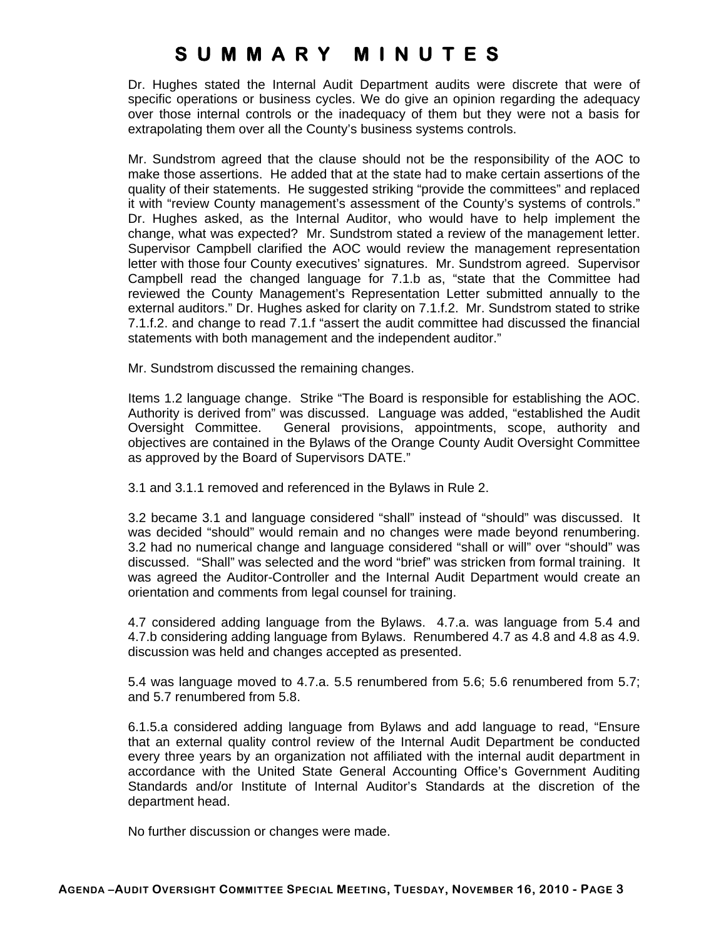Dr. Hughes stated the Internal Audit Department audits were discrete that were of specific operations or business cycles. We do give an opinion regarding the adequacy over those internal controls or the inadequacy of them but they were not a basis for extrapolating them over all the County's business systems controls.

Mr. Sundstrom agreed that the clause should not be the responsibility of the AOC to make those assertions. He added that at the state had to make certain assertions of the quality of their statements. He suggested striking "provide the committees" and replaced it with "review County management's assessment of the County's systems of controls." Dr. Hughes asked, as the Internal Auditor, who would have to help implement the change, what was expected? Mr. Sundstrom stated a review of the management letter. Supervisor Campbell clarified the AOC would review the management representation letter with those four County executives' signatures. Mr. Sundstrom agreed. Supervisor Campbell read the changed language for 7.1.b as, "state that the Committee had reviewed the County Management's Representation Letter submitted annually to the external auditors." Dr. Hughes asked for clarity on 7.1.f.2. Mr. Sundstrom stated to strike 7.1.f.2. and change to read 7.1.f "assert the audit committee had discussed the financial statements with both management and the independent auditor."

Mr. Sundstrom discussed the remaining changes.

Items 1.2 language change. Strike "The Board is responsible for establishing the AOC. Authority is derived from" was discussed. Language was added, "established the Audit Oversight Committee. General provisions, appointments, scope, authority and objectives are contained in the Bylaws of the Orange County Audit Oversight Committee as approved by the Board of Supervisors DATE."

3.1 and 3.1.1 removed and referenced in the Bylaws in Rule 2.

3.2 became 3.1 and language considered "shall" instead of "should" was discussed. It was decided "should" would remain and no changes were made beyond renumbering. 3.2 had no numerical change and language considered "shall or will" over "should" was discussed. "Shall" was selected and the word "brief" was stricken from formal training. It was agreed the Auditor-Controller and the Internal Audit Department would create an orientation and comments from legal counsel for training.

4.7 considered adding language from the Bylaws. 4.7.a. was language from 5.4 and 4.7.b considering adding language from Bylaws. Renumbered 4.7 as 4.8 and 4.8 as 4.9. discussion was held and changes accepted as presented.

5.4 was language moved to 4.7.a. 5.5 renumbered from 5.6; 5.6 renumbered from 5.7; and 5.7 renumbered from 5.8.

6.1.5.a considered adding language from Bylaws and add language to read, "Ensure that an external quality control review of the Internal Audit Department be conducted every three years by an organization not affiliated with the internal audit department in accordance with the United State General Accounting Office's Government Auditing Standards and/or Institute of Internal Auditor's Standards at the discretion of the department head.

No further discussion or changes were made.